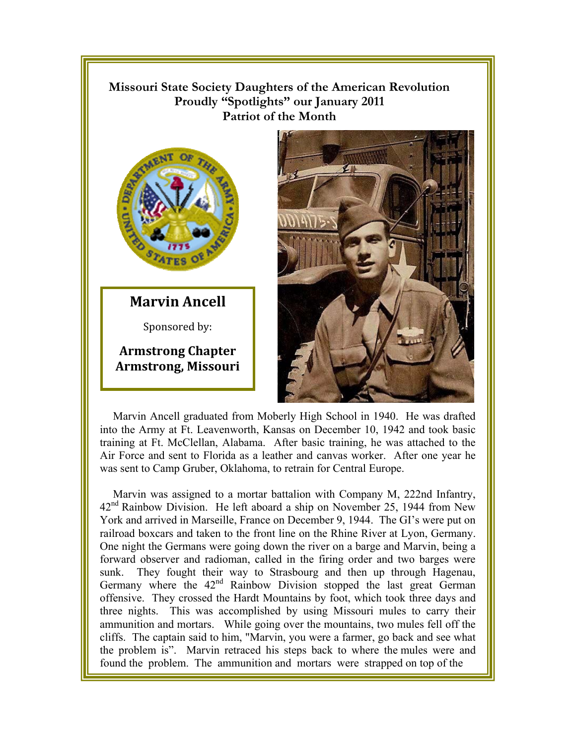## !!!!!!!!! **Missouri State Society Daughters of the American Revolution Proudly "Spotlights" our January 2011 Patriot of the Month**



**Marvin Ancell** 

Sponsored by:

**Armstrong Chapter Armstrong, Missouri** 



Marvin Ancell graduated from Moberly High School in 1940. He was drafted into the Army at Ft. Leavenworth, Kansas on December 10, 1942 and took basic training at Ft. McClellan, Alabama. After basic training, he was attached to the Air Force and sent to Florida as a leather and canvas worker. After one year he was sent to Camp Gruber, Oklahoma, to retrain for Central Europe.

Marvin was assigned to a mortar battalion with Company M, 222nd Infantry,  $42<sup>nd</sup>$  Rainbow Division. He left aboard a ship on November 25, 1944 from New York and arrived in Marseille, France on December 9, 1944. The GI's were put on railroad boxcars and taken to the front line on the Rhine River at Lyon, Germany. One night the Germans were going down the river on a barge and Marvin, being a forward observer and radioman, called in the firing order and two barges were sunk. They fought their way to Strasbourg and then up through Hagenau, Germany where the 42<sup>nd</sup> Rainbow Division stopped the last great German offensive. They crossed the Hardt Mountains by foot, which took three days and three nights. This was accomplished by using Missouri mules to carry their ammunition and mortars. While going over the mountains, two mules fell off the cliffs. The captain said to him, "Marvin, you were a farmer, go back and see what the problem is". Marvin retraced his steps back to where the mules were and found the problem. The ammunition and mortars were strapped on top of the